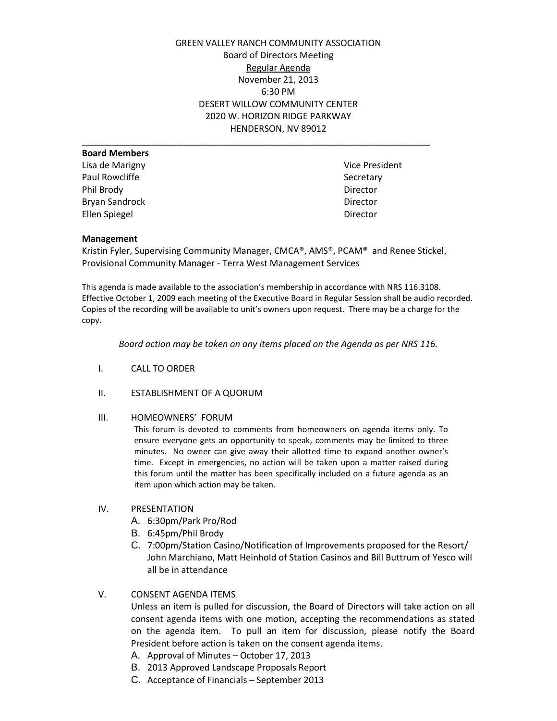GREEN VALLEY RANCH COMMUNITY ASSOCIATION Board of Directors Meeting Regular Agenda November 21, 2013 6:30 PM DESERT WILLOW COMMUNITY CENTER 2020 W. HORIZON RIDGE PARKWAY HENDERSON, NV 89012

| <b>Board Members</b>  |          |
|-----------------------|----------|
| Lisa de Marigny       | Vice Pre |
| Paul Rowcliffe        | Secretar |
| Phil Brody            | Director |
| <b>Bryan Sandrock</b> | Director |
| <b>Ellen Spiegel</b>  | Director |

Vice President Secretary

## **Management**

Kristin Fyler, Supervising Community Manager, CMCA®, AMS®, PCAM® and Renee Stickel, Provisional Community Manager - Terra West Management Services

\_\_\_\_\_\_\_\_\_\_\_\_\_\_\_\_\_\_\_\_\_\_\_\_\_\_\_\_\_\_\_\_\_\_\_\_\_\_\_\_\_\_\_\_\_\_\_\_\_\_\_\_\_\_\_\_\_\_\_\_\_\_\_\_\_\_\_\_\_\_

This agenda is made available to the association's membership in accordance with NRS 116.3108. Effective October 1, 2009 each meeting of the Executive Board in Regular Session shall be audio recorded. Copies of the recording will be available to unit's owners upon request. There may be a charge for the copy.

*Board action may be taken on any items placed on the Agenda as per NRS 116.*

- I. CALL TO ORDER
- II. ESTABLISHMENT OF A QUORUM

### III. HOMEOWNERS' FORUM

This forum is devoted to comments from homeowners on agenda items only. To ensure everyone gets an opportunity to speak, comments may be limited to three minutes. No owner can give away their allotted time to expand another owner's time. Except in emergencies, no action will be taken upon a matter raised during this forum until the matter has been specifically included on a future agenda as an item upon which action may be taken.

### IV. PRESENTATION

- A. 6:30pm/Park Pro/Rod
- B. 6:45pm/Phil Brody
- C. 7:00pm/Station Casino/Notification of Improvements proposed for the Resort/ John Marchiano, Matt Heinhold of Station Casinos and Bill Buttrum of Yesco will all be in attendance

# V. CONSENT AGENDA ITEMS

Unless an item is pulled for discussion, the Board of Directors will take action on all consent agenda items with one motion, accepting the recommendations as stated on the agenda item. To pull an item for discussion, please notify the Board President before action is taken on the consent agenda items.

- A. Approval of Minutes October 17, 2013
- B. 2013 Approved Landscape Proposals Report
- C. Acceptance of Financials September 2013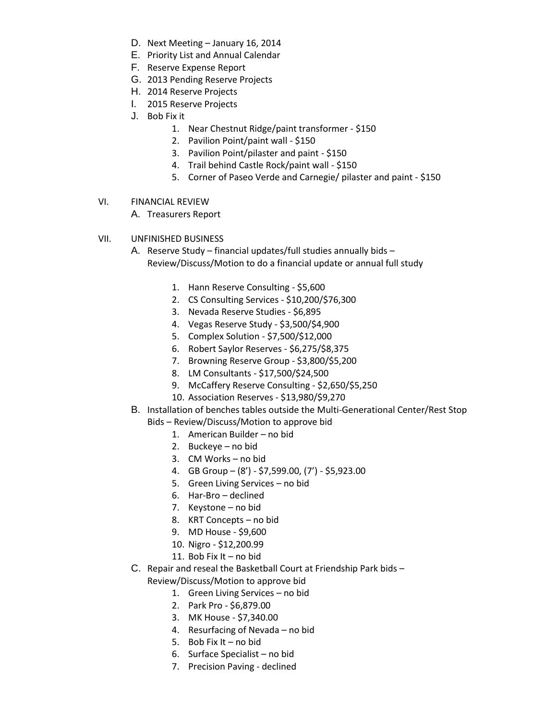- D. Next Meeting January 16, 2014
- E. Priority List and Annual Calendar
- F. Reserve Expense Report
- G. 2013 Pending Reserve Projects
- H. 2014 Reserve Projects
- I. 2015 Reserve Projects
- J. Bob Fix it
	- 1. Near Chestnut Ridge/paint transformer \$150
	- 2. Pavilion Point/paint wall \$150
	- 3. Pavilion Point/pilaster and paint \$150
	- 4. Trail behind Castle Rock/paint wall \$150
	- 5. Corner of Paseo Verde and Carnegie/ pilaster and paint \$150
- VI. FINANCIAL REVIEW
	- A. Treasurers Report
- VII. UNFINISHED BUSINESS
	- A. Reserve Study financial updates/full studies annually bids Review/Discuss/Motion to do a financial update or annual full study
		- 1. Hann Reserve Consulting \$5,600
		- 2. CS Consulting Services \$10,200/\$76,300
		- 3. Nevada Reserve Studies \$6,895
		- 4. Vegas Reserve Study \$3,500/\$4,900
		- 5. Complex Solution \$7,500/\$12,000
		- 6. Robert Saylor Reserves \$6,275/\$8,375
		- 7. Browning Reserve Group \$3,800/\$5,200
		- 8. LM Consultants \$17,500/\$24,500
		- 9. McCaffery Reserve Consulting \$2,650/\$5,250
		- 10. Association Reserves \$13,980/\$9,270
	- B. Installation of benches tables outside the Multi-Generational Center/Rest Stop Bids – Review/Discuss/Motion to approve bid
		- 1. American Builder no bid
		- 2. Buckeye no bid
		- 3. CM Works no bid
		- 4. GB Group (8') \$7,599.00, (7') \$5,923.00
		- 5. Green Living Services no bid
		- 6. Har-Bro declined
		- 7. Keystone no bid
		- 8. KRT Concepts no bid
		- 9. MD House \$9,600
		- 10. Nigro \$12,200.99
		- 11. Bob Fix It no bid
	- C. Repair and reseal the Basketball Court at Friendship Park bids
		- Review/Discuss/Motion to approve bid
			- 1. Green Living Services no bid
			- 2. Park Pro \$6,879.00
			- 3. MK House \$7,340.00
			- 4. Resurfacing of Nevada no bid
			- 5. Bob Fix It no bid
			- 6. Surface Specialist no bid
			- 7. Precision Paving declined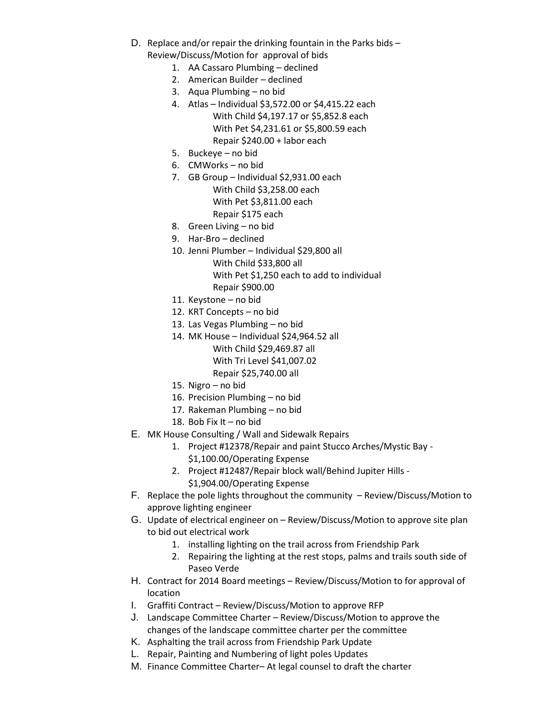- D. Replace and/or repair the drinking fountain in the Parks bids Review/Discuss/Motion for approval of bids
	- 1. AA Cassaro Plumbing declined
	- 2. American Builder declined
	- 3. Aqua Plumbing no bid
	- 4. Atlas Individual \$3,572.00 or \$4,415.22 each With Child \$4,197.17 or \$5,852.8 each With Pet \$4,231.61 or \$5,800.59 each Repair \$240.00 + labor each
	- 5. Buckeye no bid
	- 6. CMWorks no bid
	- 7. GB Group Individual \$2,931.00 each With Child \$3,258.00 each With Pet \$3,811.00 each Repair \$175 each
	- 8. Green Living no bid
	- 9. Har-Bro declined
	- 10. Jenni Plumber Individual \$29,800 all With Child \$33,800 all
		- With Pet \$1,250 each to add to individual Repair \$900.00
	- 11. Keystone no bid
	- 12. KRT Concepts no bid
	- 13. Las Vegas Plumbing no bid
	- 14. MK House Individual \$24,964.52 all With Child \$29,469.87 all With Tri Level \$41,007.02 Repair \$25,740.00 all
	- 15. Nigro no bid
	- 16. Precision Plumbing no bid
	- 17. Rakeman Plumbing no bid
	- 18. Bob Fix It no bid
- E. MK House Consulting / Wall and Sidewalk Repairs
	- 1. Project #12378/Repair and paint Stucco Arches/Mystic Bay
		- \$1,100.00/Operating Expense
		- 2. Project #12487/Repair block wall/Behind Jupiter Hills
			- \$1,904.00/Operating Expense
- F. Replace the pole lights throughout the community Review/Discuss/Motion to approve lighting engineer
- G. Update of electrical engineer on Review/Discuss/Motion to approve site plan to bid out electrical work
	- 1. installing lighting on the trail across from Friendship Park
	- 2. Repairing the lighting at the rest stops, palms and trails south side of Paseo Verde
- H. Contract for 2014 Board meetings Review/Discuss/Motion to for approval of location
- I. Graffiti Contract Review/Discuss/Motion to approve RFP
- J. Landscape Committee Charter Review/Discuss/Motion to approve the changes of the landscape committee charter per the committee
- K. Asphalting the trail across from Friendship Park Update
- L. Repair, Painting and Numbering of light poles Updates
- M. Finance Committee Charter– At legal counsel to draft the charter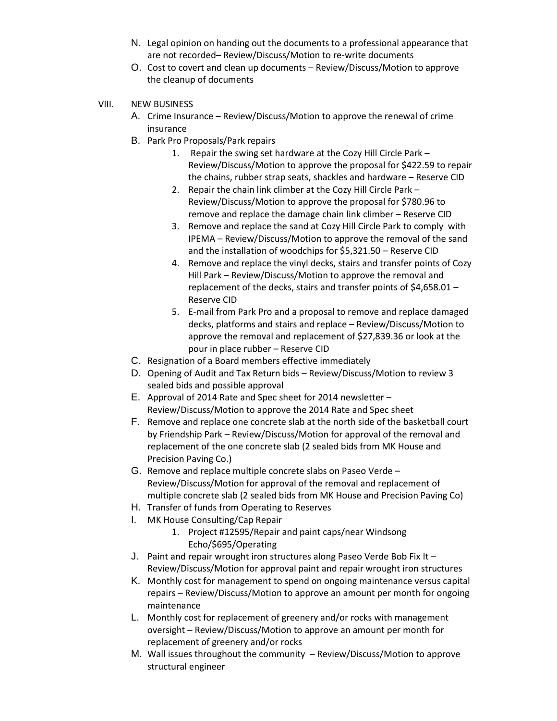- N. Legal opinion on handing out the documents to a professional appearance that are not recorded– Review/Discuss/Motion to re-write documents
- O. Cost to covert and clean up documents Review/Discuss/Motion to approve the cleanup of documents
- VIII. NEW BUSINESS
	- A. Crime Insurance Review/Discuss/Motion to approve the renewal of crime insurance
	- B. Park Pro Proposals/Park repairs
		- 1. Repair the swing set hardware at the Cozy Hill Circle Park Review/Discuss/Motion to approve the proposal for \$422.59 to repair the chains, rubber strap seats, shackles and hardware – Reserve CID
		- 2. Repair the chain link climber at the Cozy Hill Circle Park Review/Discuss/Motion to approve the proposal for \$780.96 to remove and replace the damage chain link climber – Reserve CID
		- 3. Remove and replace the sand at Cozy Hill Circle Park to comply with IPEMA – Review/Discuss/Motion to approve the removal of the sand and the installation of woodchips for \$5,321.50 – Reserve CID
		- 4. Remove and replace the vinyl decks, stairs and transfer points of Cozy Hill Park – Review/Discuss/Motion to approve the removal and replacement of the decks, stairs and transfer points of \$4,658.01 – Reserve CID
		- 5. E-mail from Park Pro and a proposal to remove and replace damaged decks, platforms and stairs and replace – Review/Discuss/Motion to approve the removal and replacement of \$27,839.36 or look at the pour in place rubber – Reserve CID
	- C. Resignation of a Board members effective immediately
	- D. Opening of Audit and Tax Return bids Review/Discuss/Motion to review 3 sealed bids and possible approval
	- E. Approval of 2014 Rate and Spec sheet for 2014 newsletter Review/Discuss/Motion to approve the 2014 Rate and Spec sheet
	- F. Remove and replace one concrete slab at the north side of the basketball court by Friendship Park – Review/Discuss/Motion for approval of the removal and replacement of the one concrete slab (2 sealed bids from MK House and Precision Paving Co.)
	- G. Remove and replace multiple concrete slabs on Paseo Verde Review/Discuss/Motion for approval of the removal and replacement of multiple concrete slab (2 sealed bids from MK House and Precision Paving Co)
	- H. Transfer of funds from Operating to Reserves
	- I. MK House Consulting/Cap Repair
		- 1. Project #12595/Repair and paint caps/near Windsong Echo/\$695/Operating
	- J. Paint and repair wrought iron structures along Paseo Verde Bob Fix It Review/Discuss/Motion for approval paint and repair wrought iron structures
	- K. Monthly cost for management to spend on ongoing maintenance versus capital repairs – Review/Discuss/Motion to approve an amount per month for ongoing maintenance
	- L. Monthly cost for replacement of greenery and/or rocks with management oversight – Review/Discuss/Motion to approve an amount per month for replacement of greenery and/or rocks
	- M. Wall issues throughout the community Review/Discuss/Motion to approve structural engineer